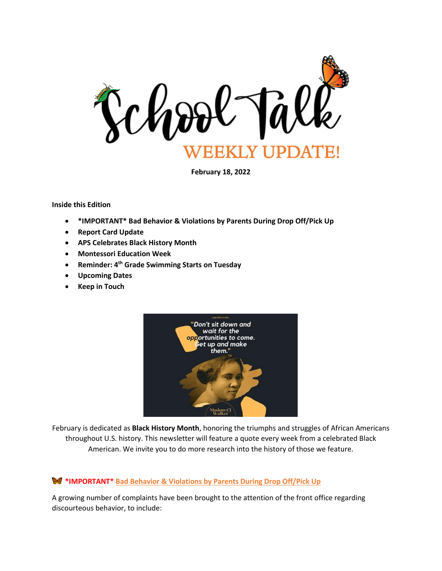

**February 18, 2022**

**Inside this Edition**

- **\*IMPORTANT\* Bad Behavior & Violations by Parents During Drop Off/Pick Up**
- **Report Card Update**
- **APS Celebrates Black History Month**
- **Montessori Education Week**
- **Reminder: 4th Grade Swimming Starts on Tuesday**
- **Upcoming Dates**
- **Keep in Touch**



February is dedicated as **Black History Month**, honoring the triumphs and struggles of African Americans throughout U.S. history. This newsletter will feature a quote every week from a celebrated Black American. We invite you to do more research into the history of those we feature.

#### **\*IMPORTANT\* Bad Behavior & Violations by Parents During Drop Off/Pick Up**

A growing number of complaints have been brought to the attention of the front office regarding discourteous behavior, to include: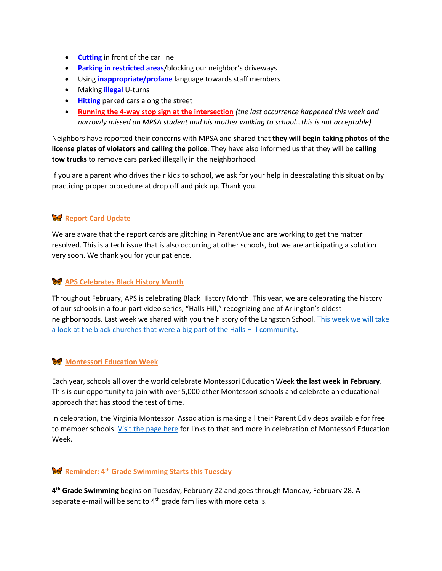- **Cutting** in front of the car line
- **Parking in restricted areas**/blocking our neighbor's driveways
- Using **inappropriate/profane** language towards staff members
- Making **illegal** U-turns
- **Hitting** parked cars along the street
- **Running the 4-way stop sign at the intersection** *(the last occurrence happened this week and narrowly missed an MPSA student and his mother walking to school…this is not acceptable)*

Neighbors have reported their concerns with MPSA and shared that **they will begin taking photos of the license plates of violators and calling the police**. They have also informed us that they will be **calling tow trucks** to remove cars parked illegally in the neighborhood.

If you are a parent who drives their kids to school, we ask for your help in deescalating this situation by practicing proper procedure at drop off and pick up. Thank you.

### **Report Card Update**

We are aware that the report cards are glitching in ParentVue and are working to get the matter resolved. This is a tech issue that is also occurring at other schools, but we are anticipating a solution very soon. We thank you for your patience.

#### **APS Celebrates Black History Month**

Throughout February, APS is celebrating Black History Month. This year, we are celebrating the history of our schools in a four-part video series, "Halls Hill," recognizing one of Arlington's oldest neighborhoods. Last week we shared with you the history of the Langston School. [This week we will take](https://www.apsva.us/black-history-month/)  [a look at the black churches that were a big part of the Halls Hill community.](https://www.apsva.us/black-history-month/)

#### **Montessori Education Week**

Each year, schools all over the world celebrate Montessori Education Week **the last week in February**. This is our opportunity to join with over 5,000 other Montessori schools and celebrate an educational approach that has stood the test of time.

In celebration, the Virginia Montessori Association is making all their Parent Ed videos available for free to member schools. [Visit the page here](https://www.virginiamontessoriassociation.org/montessori-education-week.html) for links to that and more in celebration of Montessori Education Week.

## **Reminder: 4th Grade Swimming Starts this Tuesday**

**4 th Grade Swimming** begins on Tuesday, February 22 and goes through Monday, February 28. A separate e-mail will be sent to  $4<sup>th</sup>$  grade families with more details.